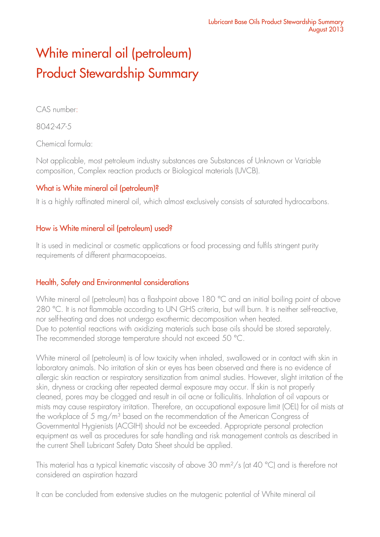# White mineral oil (petroleum) Product Stewardship Summary

CAS number:

8042-47-5

Chemical formula:

Not applicable, most petroleum industry substances are Substances of Unknown or Variable composition, Complex reaction products or Biological materials (UVCB).

## What is White mineral oil (petroleum)?

It is a highly raffinated mineral oil, which almost exclusively consists of saturated hydrocarbons.

## How is White mineral oil (petroleum) used?

It is used in medicinal or cosmetic applications or food processing and fulfils stringent purity requirements of different pharmacopoeias.

## Health, Safety and Environmental considerations

White mineral oil (petroleum) has a flashpoint above 180 °C and an initial boiling point of above 280 °C. It is not flammable according to UN GHS criteria, but will burn. It is neither self-reactive, nor self-heating and does not undergo exothermic decomposition when heated. Due to potential reactions with oxidizing materials such base oils should be stored separately. The recommended storage temperature should not exceed 50 °C.

White mineral oil (petroleum) is of low toxicity when inhaled, swallowed or in contact with skin in laboratory animals. No irritation of skin or eyes has been observed and there is no evidence of allergic skin reaction or respiratory sensitization from animal studies. However, slight irritation of the skin, dryness or cracking after repeated dermal exposure may occur. If skin is not properly cleaned, pores may be clogged and result in oil acne or folliculitis. Inhalation of oil vapours or mists may cause respiratory irritation. Therefore, an occupational exposure limit (OEL) for oil mists at the workplace of 5 mg/m<sup>3</sup> based on the recommendation of the American Congress of Governmental Hygienists (ACGIH) should not be exceeded. Appropriate personal protection equipment as well as procedures for safe handling and risk management controls as described in the current Shell Lubricant Safety Data Sheet should be applied.

This material has a typical kinematic viscosity of above 30 mm<sup>2</sup>/s (at 40 °C) and is therefore not considered an aspiration hazard

It can be concluded from extensive studies on the mutagenic potential of White mineral oil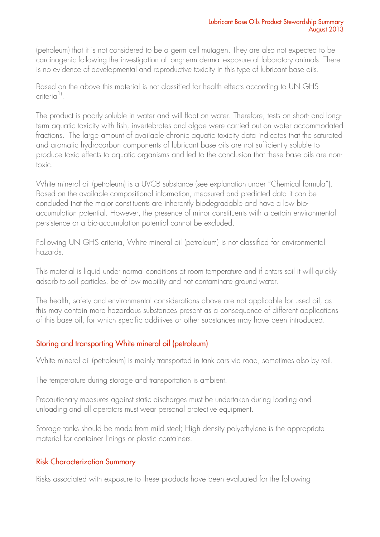(petroleum) that it is not considered to be a germ cell mutagen. They are also not expected to be carcinogenic following the investigation of long-term dermal exposure of laboratory animals. There is no evidence of developmental and reproductive toxicity in this type of lubricant base oils.

Based on the above this material is not classified for health effects according to UN GHS criteria<sup>1)</sup>.

The product is poorly soluble in water and will float on water. Therefore, tests on short- and longterm aquatic toxicity with fish, invertebrates and algae were carried out on water accommodated fractions. The large amount of available chronic aquatic toxicity data indicates that the saturated and aromatic hydrocarbon components of lubricant base oils are not sufficiently soluble to produce toxic effects to aquatic organisms and led to the conclusion that these base oils are nontoxic.

White mineral oil (petroleum) is a UVCB substance (see explanation under "Chemical formula"). Based on the available compositional information, measured and predicted data it can be concluded that the major constituents are inherently biodegradable and have a low bioaccumulation potential. However, the presence of minor constituents with a certain environmental persistence or a bio-accumulation potential cannot be excluded.

Following UN GHS criteria, White mineral oil (petroleum) is not classified for environmental hazards.

This material is liquid under normal conditions at room temperature and if enters soil it will quickly adsorb to soil particles, be of low mobility and not contaminate ground water.

The health, safety and environmental considerations above are not applicable for used oil, as this may contain more hazardous substances present as a consequence of different applications of this base oil, for which specific additives or other substances may have been introduced.

## Storing and transporting White mineral oil (petroleum)

White mineral oil (petroleum) is mainly transported in tank cars via road, sometimes also by rail.

The temperature during storage and transportation is ambient.

Precautionary measures against static discharges must be undertaken during loading and unloading and all operators must wear personal protective equipment.

Storage tanks should be made from mild steel; High density polyethylene is the appropriate material for container linings or plastic containers.

## Risk Characterization Summary

Risks associated with exposure to these products have been evaluated for the following